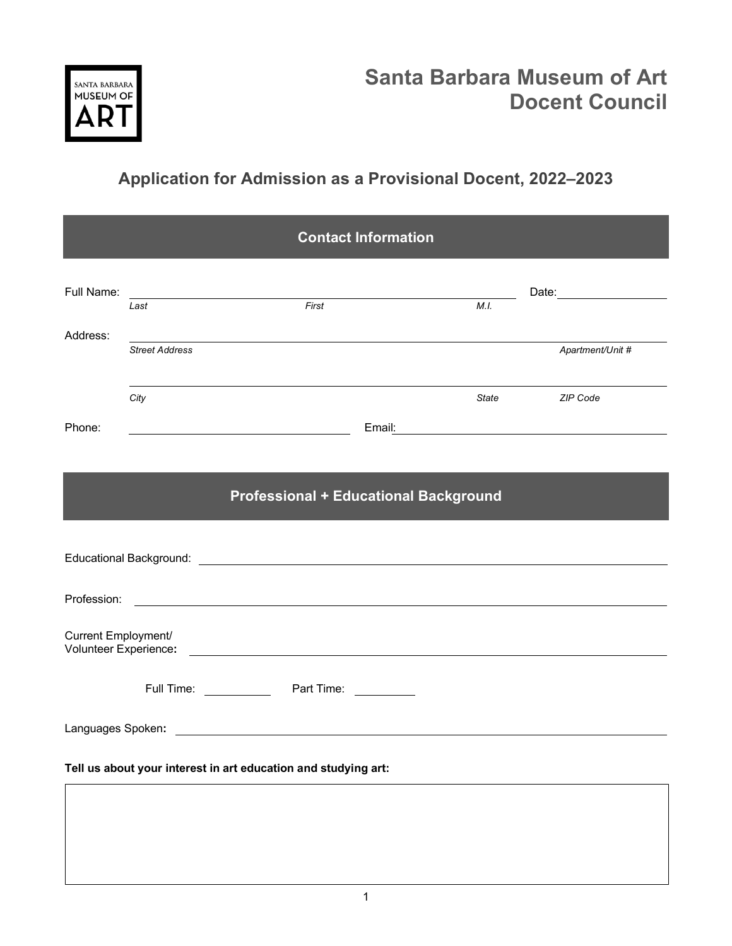

## **Application for Admission as a Provisional Docent, 2022–2023**

| <b>Contact Information</b>                                                                                                                                                                                                     |                       |                                                                                                                                 |      |                  |
|--------------------------------------------------------------------------------------------------------------------------------------------------------------------------------------------------------------------------------|-----------------------|---------------------------------------------------------------------------------------------------------------------------------|------|------------------|
| Full Name:                                                                                                                                                                                                                     | Last                  | <u> Listen de la contrada de la contrada de la contrada de la contrada de la contrada de la contrada de la contrad</u><br>First | M.I. |                  |
| Address:                                                                                                                                                                                                                       | <b>Street Address</b> |                                                                                                                                 |      | Apartment/Unit # |
| Phone:                                                                                                                                                                                                                         | City                  |                                                                                                                                 |      | State ZIP Code   |
| <b>Professional + Educational Background</b>                                                                                                                                                                                   |                       |                                                                                                                                 |      |                  |
| Educational Background: Law and Contract and Contract and Contract and Contract and Contract and Contract and Contract and Contract and Contract and Contract and Contract and Contract and Contract and Contract and Contract |                       |                                                                                                                                 |      |                  |
|                                                                                                                                                                                                                                |                       |                                                                                                                                 |      |                  |
| Current Employment/                                                                                                                                                                                                            |                       |                                                                                                                                 |      |                  |
|                                                                                                                                                                                                                                |                       |                                                                                                                                 |      |                  |
|                                                                                                                                                                                                                                |                       |                                                                                                                                 |      |                  |
| Tell us about your interest in art education and studying art:                                                                                                                                                                 |                       |                                                                                                                                 |      |                  |
|                                                                                                                                                                                                                                |                       |                                                                                                                                 |      |                  |
|                                                                                                                                                                                                                                |                       |                                                                                                                                 |      |                  |
|                                                                                                                                                                                                                                |                       |                                                                                                                                 |      |                  |